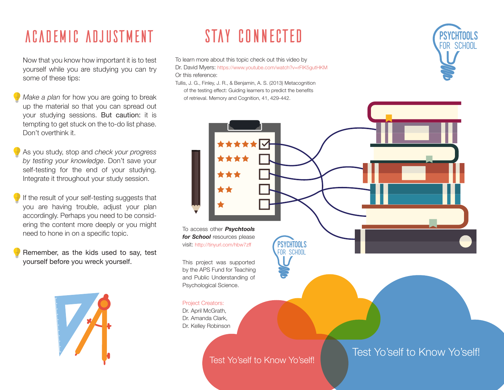## **ACADEMIC ADJUSTMENT**

Now that you know how important it is to test yourself while you are studying you can try some of these tips:

- Make a plan for how you are going to break up the material so that you can spread out your studying sessions. But caution: it is tempting to get stuck on the to-do list phase. Don't overthink it.
- As you study, stop and check your progress by testing your knowledge. Don't save your self-testing for the end of your studying. Integrate it throughout your study session.
- If the result of your self-testing suggests that you are having trouble, adjust your plan accordingly. Perhaps you need to be considering the content more deeply or you might need to hone in on a specific topic.
- Remember, as the kids used to say, test yourself before you wreck yourself.



# STAY CONNECTED

To learn more about this topic check out this video by Dr. David Myers: https://www.youtube.com/watch?v=rFIK5qutHKM Or this reference:

Tullis, J. G., Finley, J. R., & Benjamin, A. S. (2013) Metacognition of the testing effect: Guiding learners to predict the benefits of retrieval. Memory and Cognition, 41, 429-442.